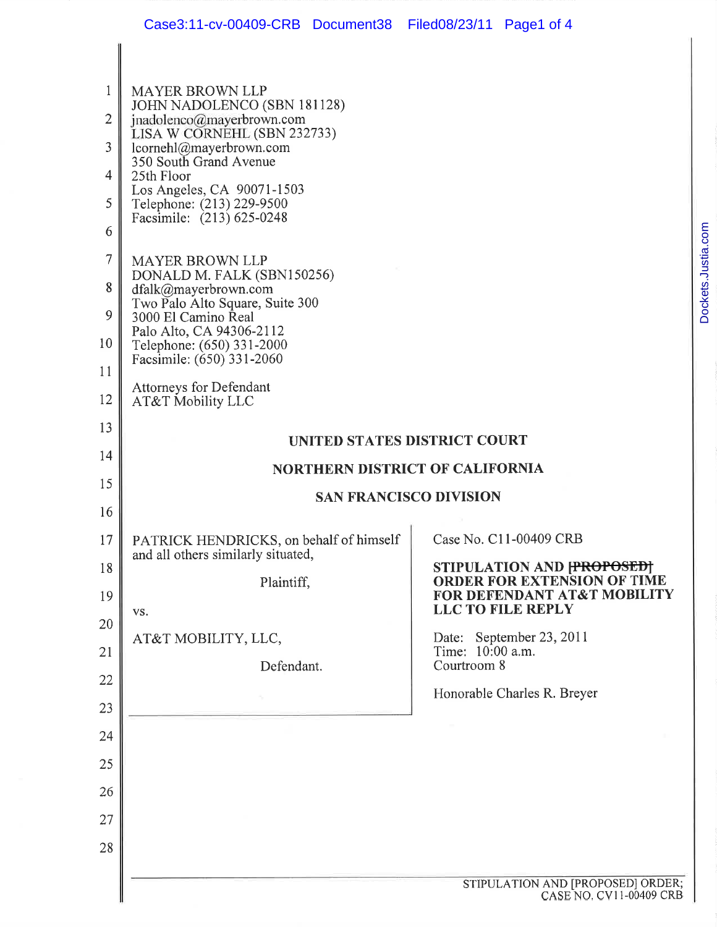1

| 1              | <b>MAYER BROWN LLP</b><br>JOHN NADOLENCO (SBN 181128)                         |                                                                |
|----------------|-------------------------------------------------------------------------------|----------------------------------------------------------------|
| $\overline{2}$ | jnadolenco@mayerbrown.com<br>LISA W CORNEHL (SBN 232733)                      |                                                                |
| 3              | lcornehl@mayerbrown.com<br>350 South Grand Avenue                             |                                                                |
| 4              | 25th Floor<br>Los Angeles, CA 90071-1503                                      |                                                                |
| 5              | Telephone: (213) 229-9500<br>Facsimile: (213) 625-0248                        |                                                                |
| 6              |                                                                               |                                                                |
| 7              | <b>MAYER BROWN LLP</b>                                                        |                                                                |
| 8              | DONALD M. FALK (SBN150256)<br>dfalk@mayerbrown.com                            |                                                                |
| 9              | Two Palo Alto Square, Suite 300<br>3000 El Camino Real                        |                                                                |
| 10             | Palo Alto, CA 94306-2112<br>Telephone: (650) 331-2000                         |                                                                |
| 11             | Facsimile: (650) 331-2060                                                     |                                                                |
| 12             | <b>Attorneys for Defendant</b><br>AT&T Mobility LLC                           |                                                                |
| 13             | UNITED STATES DISTRICT COURT                                                  |                                                                |
| 14             | <b>NORTHERN DISTRICT OF CALIFORNIA</b>                                        |                                                                |
| 15             | <b>SAN FRANCISCO DIVISION</b>                                                 |                                                                |
| 16             |                                                                               |                                                                |
| 17             | PATRICK HENDRICKS, on behalf of himself<br>and all others similarly situated, | Case No. C11-00409 CRB                                         |
| 18             | Plaintiff,                                                                    | STIPULATION AND FROPOSED<br><b>ORDER FOR EXTENSION OF TIME</b> |
| 19             |                                                                               | FOR DEFENDANT AT&T MOBILITY<br><b>LLC TO FILE REPLY</b>        |
| 20             | VS.                                                                           |                                                                |
| 21             | AT&T MOBILITY, LLC,                                                           | Date: September 23, 2011<br>Time: 10:00 a.m.                   |
| 22             | Defendant.                                                                    | Courtroom 8                                                    |
| 23             |                                                                               | Honorable Charles R. Breyer                                    |
| 24             |                                                                               |                                                                |
| 25             |                                                                               |                                                                |
| 26             |                                                                               |                                                                |
| 27             |                                                                               |                                                                |
| 28             |                                                                               |                                                                |
|                |                                                                               | <b>CEIDULLA TION AND IDDODOSEDI OPDEP</b>                      |
|                |                                                                               |                                                                |

Dockets.Justia.com

Dockets.Justia.com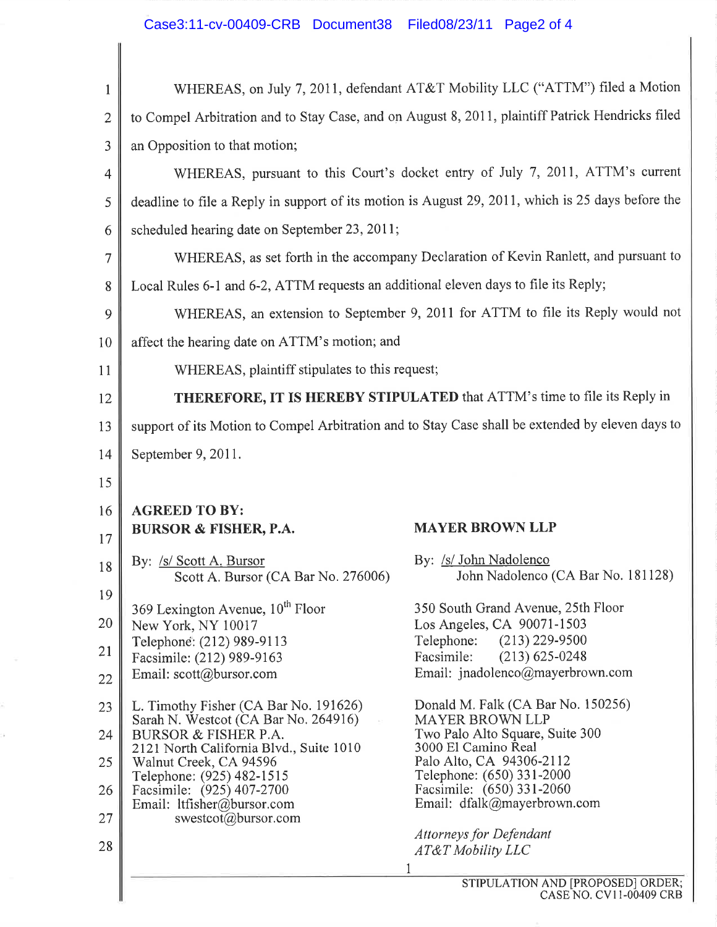## Case3:11-cv-00409-CRB Document38 Filed08/23/11 Page2 of 4

I

ă.

 $\tilde{s}$ 

| $\mathbf{1}$   |                                                                                     | WHEREAS, on July 7, 2011, defendant AT&T Mobility LLC ("ATTM") filed a Motion                     |
|----------------|-------------------------------------------------------------------------------------|---------------------------------------------------------------------------------------------------|
| $\overline{2}$ |                                                                                     | to Compel Arbitration and to Stay Case, and on August 8, 2011, plaintiff Patrick Hendricks filed  |
| 3              | an Opposition to that motion;                                                       |                                                                                                   |
| 4              |                                                                                     | WHEREAS, pursuant to this Court's docket entry of July 7, 2011, ATTM's current                    |
| 5              |                                                                                     | deadline to file a Reply in support of its motion is August 29, 2011, which is 25 days before the |
| 6              | scheduled hearing date on September 23, 2011;                                       |                                                                                                   |
| 7              |                                                                                     | WHEREAS, as set forth in the accompany Declaration of Kevin Ranlett, and pursuant to              |
| 8              | Local Rules 6-1 and 6-2, ATTM requests an additional eleven days to file its Reply; |                                                                                                   |
| 9              |                                                                                     | WHEREAS, an extension to September 9, 2011 for ATTM to file its Reply would not                   |
| 10             | affect the hearing date on ATTM's motion; and                                       |                                                                                                   |
| 11             | WHEREAS, plaintiff stipulates to this request;                                      |                                                                                                   |
| 12             |                                                                                     | THEREFORE, IT IS HEREBY STIPULATED that ATTM's time to file its Reply in                          |
| 13             |                                                                                     | support of its Motion to Compel Arbitration and to Stay Case shall be extended by eleven days to  |
| 14             | September 9, 2011.                                                                  |                                                                                                   |
| 15             |                                                                                     |                                                                                                   |
| 16             | <b>AGREED TO BY:</b>                                                                |                                                                                                   |
| 17             | <b>BURSOR &amp; FISHER, P.A.</b>                                                    | <b>MAYER BROWN LLP</b>                                                                            |
| 18             | By: /s/ Scott A, Bursor<br>Scott A. Bursor (CA Bar No. 276006)                      | By: /s/ John Nadolenco<br>John Nadolenco (CA Bar No. 181128)                                      |
| 19             |                                                                                     | 350 South Grand Avenue, 25th Floor                                                                |
| 20             | 369 Lexington Avenue, 10 <sup>th</sup> Floor<br>New York, NY 10017                  | Los Angeles, CA 90071-1503                                                                        |
| 21             | Telephone: (212) 989-9113<br>Facsimile: (212) 989-9163                              | Telephone:<br>$(213)$ 229-9500<br>Facsimile:<br>$(213) 625 - 0248$                                |
| 22             | Email: scott@bursor.com                                                             | Email: jnadolenco@mayerbrown.com                                                                  |
| 23             | L. Timothy Fisher (CA Bar No. 191626)                                               | Donald M. Falk (CA Bar No. 150256)<br><b>MAYER BROWN LLP</b>                                      |
| 24             | Sarah N. Westcot (CA Bar No. 264916)<br><b>BURSOR &amp; FISHER P.A.</b>             | Two Palo Alto Square, Suite 300                                                                   |
| 25             | 2121 North California Blvd., Suite 1010<br>Walnut Creek, CA 94596                   | 3000 El Camino Real<br>Palo Alto, CA 94306-2112                                                   |
| 26             | Telephone: (925) 482-1515<br>Facsimile: (925) 407-2700                              | Telephone: (650) 331-2000<br>Facsimile: (650) 331-2060                                            |
| 27             | Email: ltfisher@bursor.com<br>swestcot@bursor.com                                   | Email: dfalk@mayerbrown.com                                                                       |
| 28             |                                                                                     | <b>Attorneys for Defendant</b><br>AT&T Mobility LLC                                               |
|                |                                                                                     |                                                                                                   |